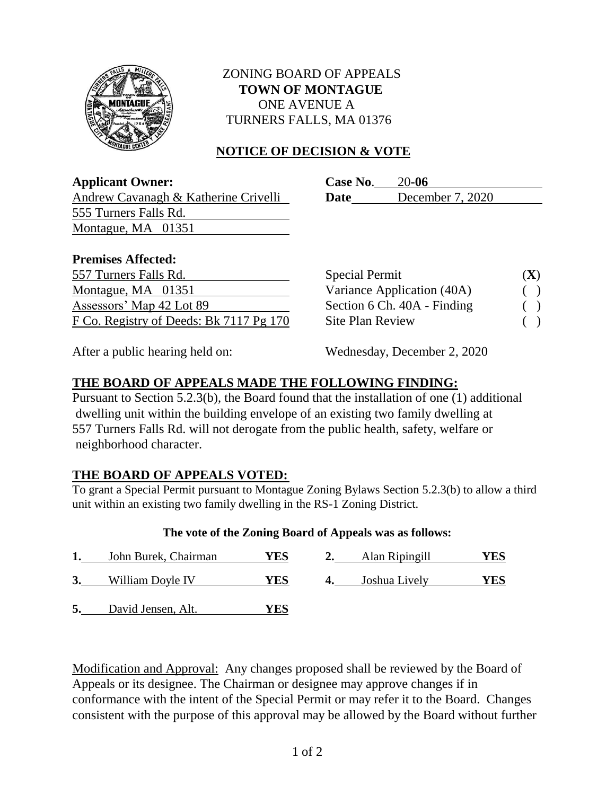

## ZONING BOARD OF APPEALS  **TOWN OF MONTAGUE** ONE AVENUE A TURNERS FALLS, MA 01376

# **NOTICE OF DECISION & VOTE**

**Applicant Owner: Case No**. 20**-06** Andrew Cavanagh & Katherine Crivelli **Date** December 7, 2020

# 555 Turners Falls Rd. Montague, MA 01351

#### **Premises Affected:**

| 557 Turners Falls Rd.                   | <b>Special Permit</b>       | $({\bf X})$ |
|-----------------------------------------|-----------------------------|-------------|
| Montague, MA 01351                      | Variance Application (40A)  | $\big)$     |
| Assessors' Map 42 Lot 89                | Section 6 Ch. 40A - Finding |             |
| F Co. Registry of Deeds: Bk 7117 Pg 170 | <b>Site Plan Review</b>     |             |

| <b>Special Permit</b>       | (X) |
|-----------------------------|-----|
| Variance Application (40A)  |     |
| Section 6 Ch. 40A - Finding |     |
| Site Plan Review            |     |

After a public hearing held on: Wednesday, December 2, 2020

# **THE BOARD OF APPEALS MADE THE FOLLOWING FINDING:**

Pursuant to Section 5.2.3(b), the Board found that the installation of one (1) additional dwelling unit within the building envelope of an existing two family dwelling at 557 Turners Falls Rd. will not derogate from the public health, safety, welfare or neighborhood character.

# **THE BOARD OF APPEALS VOTED:**

To grant a Special Permit pursuant to Montague Zoning Bylaws Section 5.2.3(b) to allow a third unit within an existing two family dwelling in the RS-1 Zoning District.

### **The vote of the Zoning Board of Appeals was as follows:**

| John Burek, Chairman | YES | Alan Ripingill | YES |
|----------------------|-----|----------------|-----|
| William Doyle IV     | YES | Joshua Lively  | YES |
| David Jensen, Alt.   | YES |                |     |

Modification and Approval: Any changes proposed shall be reviewed by the Board of Appeals or its designee. The Chairman or designee may approve changes if in conformance with the intent of the Special Permit or may refer it to the Board. Changes consistent with the purpose of this approval may be allowed by the Board without further